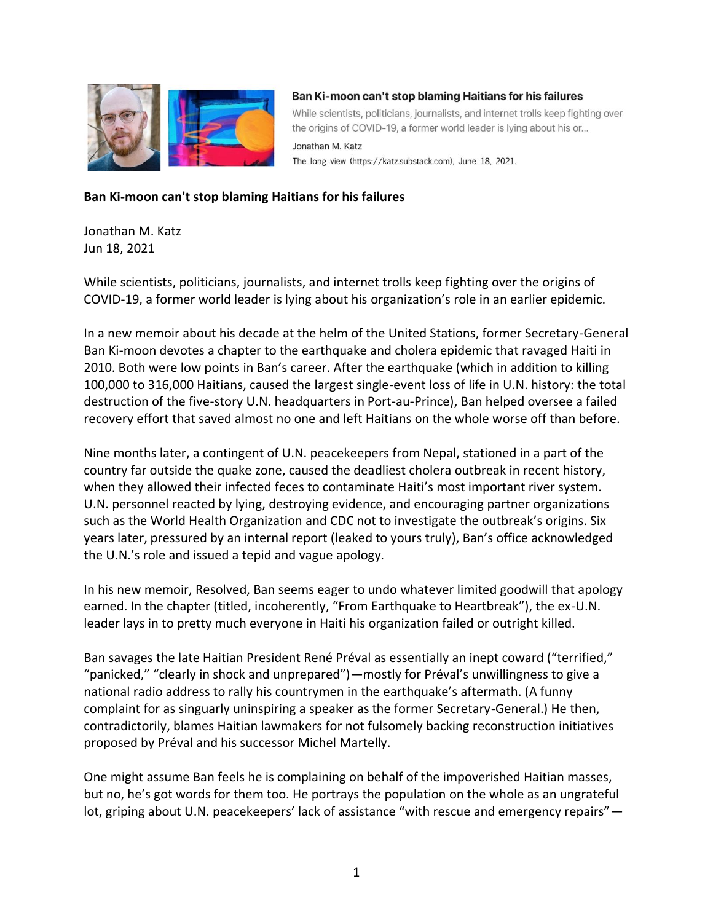

## Ban Ki-moon can't stop blaming Haitians for his failures

While scientists, politicians, journalists, and internet trolls keep fighting over the origins of COVID-19, a former world leader is lying about his or...

The long view (https://katz.substack.com), June 18, 2021.

## **Ban Ki-moon can't stop blaming Haitians for his failures**

Jonathan M. Katz Jun 18, 2021

While scientists, politicians, journalists, and internet trolls keep fighting over the origins of COVID-19, a former world leader is lying about his organization's role in an earlier epidemic.

Jonathan M. Katz

In a new memoir about his decade at the helm of the United Stations, former Secretary-General Ban Ki-moon devotes a chapter to the earthquake and cholera epidemic that ravaged Haiti in 2010. Both were low points in Ban's career. After the earthquake (which in addition to killing 100,000 to 316,000 Haitians, caused the largest single-event loss of life in U.N. history: the total destruction of the five-story U.N. headquarters in Port-au-Prince), Ban helped oversee a failed recovery effort that saved almost no one and left Haitians on the whole worse off than before.

Nine months later, a contingent of U.N. peacekeepers from Nepal, stationed in a part of the country far outside the quake zone, caused the deadliest cholera outbreak in recent history, when they allowed their infected feces to contaminate Haiti's most important river system. U.N. personnel reacted by lying, destroying evidence, and encouraging partner organizations such as the World Health Organization and CDC not to investigate the outbreak's origins. Six years later, pressured by an internal report (leaked to yours truly), Ban's office acknowledged the U.N.'s role and issued a tepid and vague apology.

In his new memoir, Resolved, Ban seems eager to undo whatever limited goodwill that apology earned. In the chapter (titled, incoherently, "From Earthquake to Heartbreak"), the ex-U.N. leader lays in to pretty much everyone in Haiti his organization failed or outright killed.

Ban savages the late Haitian President René Préval as essentially an inept coward ("terrified," "panicked," "clearly in shock and unprepared")—mostly for Préval's unwillingness to give a national radio address to rally his countrymen in the earthquake's aftermath. (A funny complaint for as singuarly uninspiring a speaker as the former Secretary-General.) He then, contradictorily, blames Haitian lawmakers for not fulsomely backing reconstruction initiatives proposed by Préval and his successor Michel Martelly.

One might assume Ban feels he is complaining on behalf of the impoverished Haitian masses, but no, he's got words for them too. He portrays the population on the whole as an ungrateful lot, griping about U.N. peacekeepers' lack of assistance "with rescue and emergency repairs" -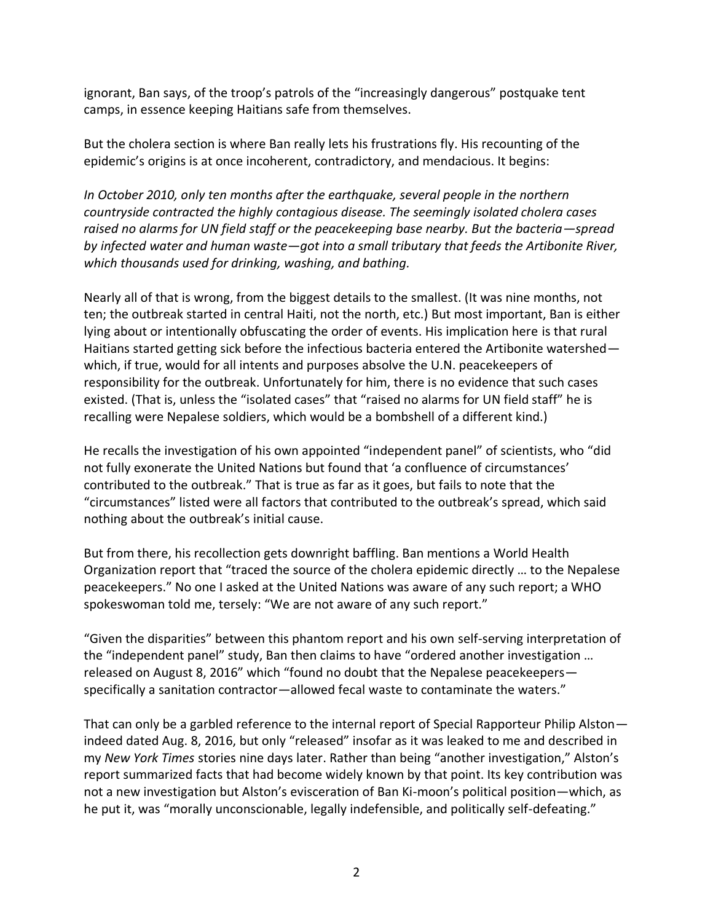ignorant, Ban says, of the troop's patrols of the "increasingly dangerous" postquake tent camps, in essence keeping Haitians safe from themselves.

But the cholera section is where Ban really lets his frustrations fly. His recounting of the epidemic's origins is at once incoherent, contradictory, and mendacious. It begins:

*In October 2010, only ten months after the earthquake, several people in the northern countryside contracted the highly contagious disease. The seemingly isolated cholera cases raised no alarms for UN field staff or the peacekeeping base nearby. But the bacteria*—*spread by infected water and human waste—got into a small tributary that feeds the Artibonite River, which thousands used for drinking, washing, and bathing.*

Nearly all of that is wrong, from the biggest details to the smallest. (It was nine months, not ten; the outbreak started in central Haiti, not the north, etc.) But most important, Ban is either lying about or intentionally obfuscating the order of events. His implication here is that rural Haitians started getting sick before the infectious bacteria entered the Artibonite watershed which, if true, would for all intents and purposes absolve the U.N. peacekeepers of responsibility for the outbreak. Unfortunately for him, there is no evidence that such cases existed. (That is, unless the "isolated cases" that "raised no alarms for UN field staff" he is recalling were Nepalese soldiers, which would be a bombshell of a different kind.)

He recalls the investigation of his own appointed "independent panel" of scientists, who "did not fully exonerate the United Nations but found that 'a confluence of circumstances' contributed to the outbreak." That is true as far as it goes, but fails to note that the "circumstances" listed were all factors that contributed to the outbreak's spread, which said nothing about the outbreak's initial cause.

But from there, his recollection gets downright baffling. Ban mentions a World Health Organization report that "traced the source of the cholera epidemic directly … to the Nepalese peacekeepers." No one I asked at the United Nations was aware of any such report; a WHO spokeswoman told me, tersely: "We are not aware of any such report."

"Given the disparities" between this phantom report and his own self-serving interpretation of the "independent panel" study, Ban then claims to have "ordered another investigation … released on August 8, 2016" which "found no doubt that the Nepalese peacekeepers specifically a sanitation contractor—allowed fecal waste to contaminate the waters."

That can only be a garbled reference to the internal report of Special Rapporteur Philip Alston indeed dated Aug. 8, 2016, but only "released" insofar as it was leaked to me and described in my *New York Times* stories nine days later. Rather than being "another investigation," Alston's report summarized facts that had become widely known by that point. Its key contribution was not a new investigation but Alston's evisceration of Ban Ki-moon's political position—which, as he put it, was "morally unconscionable, legally indefensible, and politically self-defeating."